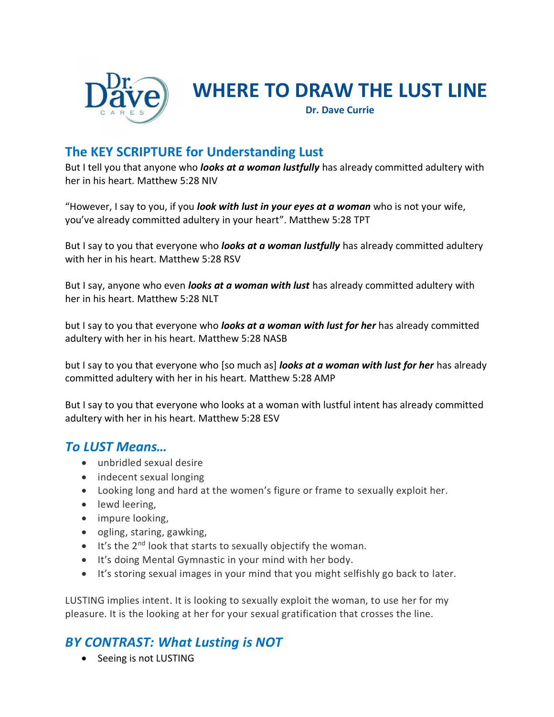

# **WHERE TO DRAW THE LUST LINE**

**Dr. Dave Currie**

# **The KEY SCRIPTURE for Understanding Lust**

But I tell you that anyone who *looks at a woman lustfully* has already committed adultery with her in his heart. Matthew 5:28 NIV

"However, I say to you, if you *look with lust in your eyes at a woman* who is not your wife, you've already committed adultery in your heart". Matthew 5:28 TPT

But I say to you that everyone who *looks at a woman lustfully* has already committed adultery with her in his heart. Matthew 5:28 RSV

But I say, anyone who even *looks at a woman with lust* has already committed adultery with her in his heart. Matthew 5:28 NLT

but I say to you that everyone who *looks at a woman with lust for her* has already committed adultery with her in his heart. Matthew 5:28 NASB

but I say to you that everyone who [so much as] *looks at a woman with lust for her* has already committed adultery with her in his heart. Matthew 5:28 AMP

But I say to you that everyone who looks at a woman with lustful intent has already committed adultery with her in his heart. Matthew 5:28 ESV

#### *To LUST Means…*

- unbridled sexual desire
- indecent sexual longing
- Looking long and hard at the women's figure or frame to sexually exploit her.
- lewd leering,
- impure looking,
- ogling, staring, gawking,
- It's the 2<sup>nd</sup> look that starts to sexually objectify the woman.
- It's doing Mental Gymnastic in your mind with her body.
- It's storing sexual images in your mind that you might selfishly go back to later.

LUSTING implies intent. It is looking to sexually exploit the woman, to use her for my pleasure. It is the looking at her for your sexual gratification that crosses the line.

# *BY CONTRAST: What Lusting is NOT*

• Seeing is not LUSTING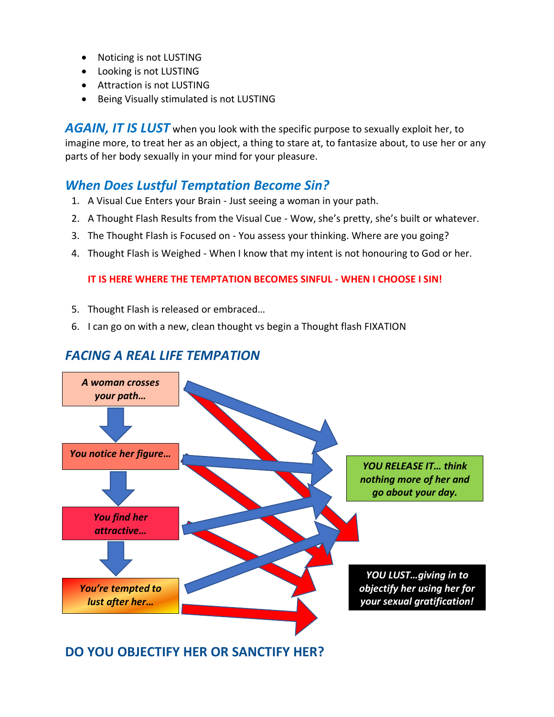- Noticing is not LUSTING
- Looking is not LUSTING
- Attraction is not LUSTING
- Being Visually stimulated is not LUSTING

*AGAIN, IT IS LUST* when you look with the specific purpose to sexually exploit her, to imagine more, to treat her as an object, a thing to stare at, to fantasize about, to use her or any parts of her body sexually in your mind for your pleasure.

#### *When Does Lustful Temptation Become Sin?*

- 1. A Visual Cue Enters your Brain Just seeing a woman in your path.
- 2. A Thought Flash Results from the Visual Cue Wow, she's pretty, she's built or whatever.
- 3. The Thought Flash is Focused on You assess your thinking. Where are you going?
- 4. Thought Flash is Weighed When I know that my intent is not honouring to God or her.

#### **IT IS HERE WHERE THE TEMPTATION BECOMES SINFUL - WHEN I CHOOSE I SIN!**

- 5. Thought Flash is released or embraced…
- 6. I can go on with a new, clean thought vs begin a Thought flash FIXATION



#### *FACING A REAL LIFE TEMPATION*

#### **DO YOU OBJECTIFY HER OR SANCTIFY HER?**